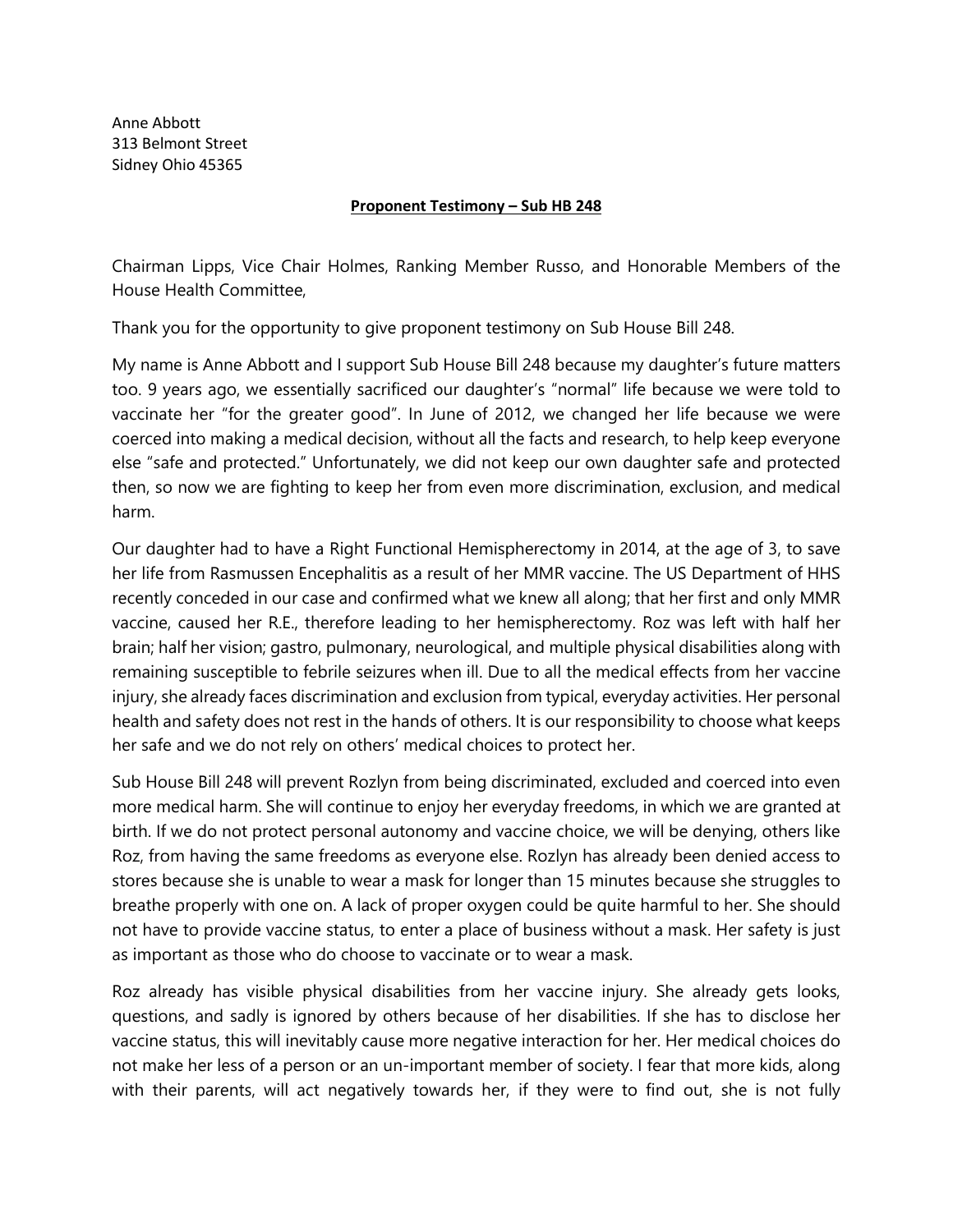Anne Abbott 313 Belmont Street Sidney Ohio 45365

## **Proponent Testimony – Sub HB 248**

Chairman Lipps, Vice Chair Holmes, Ranking Member Russo, and Honorable Members of the House Health Committee,

Thank you for the opportunity to give proponent testimony on Sub House Bill 248.

My name is Anne Abbott and I support Sub House Bill 248 because my daughter's future matters too. 9 years ago, we essentially sacrificed our daughter's "normal" life because we were told to vaccinate her "for the greater good". In June of 2012, we changed her life because we were coerced into making a medical decision, without all the facts and research, to help keep everyone else "safe and protected." Unfortunately, we did not keep our own daughter safe and protected then, so now we are fighting to keep her from even more discrimination, exclusion, and medical harm.

Our daughter had to have a Right Functional Hemispherectomy in 2014, at the age of 3, to save her life from Rasmussen Encephalitis as a result of her MMR vaccine. The US Department of HHS recently conceded in our case and confirmed what we knew all along; that her first and only MMR vaccine, caused her R.E., therefore leading to her hemispherectomy. Roz was left with half her brain; half her vision; gastro, pulmonary, neurological, and multiple physical disabilities along with remaining susceptible to febrile seizures when ill. Due to all the medical effects from her vaccine injury, she already faces discrimination and exclusion from typical, everyday activities. Her personal health and safety does not rest in the hands of others. It is our responsibility to choose what keeps her safe and we do not rely on others' medical choices to protect her.

Sub House Bill 248 will prevent Rozlyn from being discriminated, excluded and coerced into even more medical harm. She will continue to enjoy her everyday freedoms, in which we are granted at birth. If we do not protect personal autonomy and vaccine choice, we will be denying, others like Roz, from having the same freedoms as everyone else. Rozlyn has already been denied access to stores because she is unable to wear a mask for longer than 15 minutes because she struggles to breathe properly with one on. A lack of proper oxygen could be quite harmful to her. She should not have to provide vaccine status, to enter a place of business without a mask. Her safety is just as important as those who do choose to vaccinate or to wear a mask.

Roz already has visible physical disabilities from her vaccine injury. She already gets looks, questions, and sadly is ignored by others because of her disabilities. If she has to disclose her vaccine status, this will inevitably cause more negative interaction for her. Her medical choices do not make her less of a person or an un-important member of society. I fear that more kids, along with their parents, will act negatively towards her, if they were to find out, she is not fully